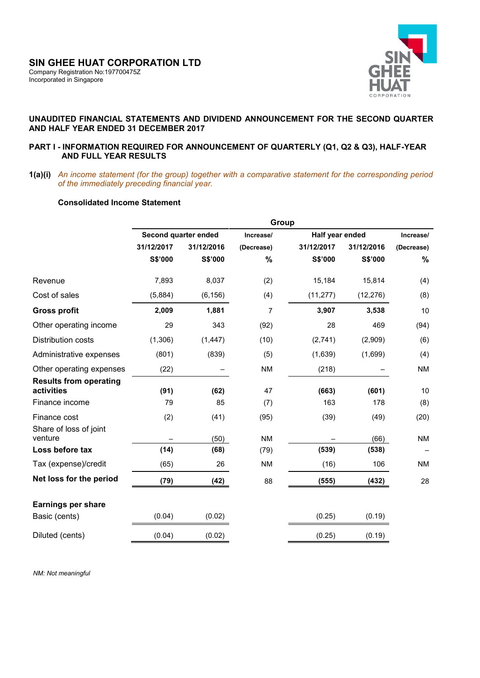

# **UNAUDITED FINANCIAL STATEMENTS AND DIVIDEND ANNOUNCEMENT FOR THE SECOND QUARTER AND HALF YEAR ENDED 31 DECEMBER 2017**

### **PART I - INFORMATION REQUIRED FOR ANNOUNCEMENT OF QUARTERLY (Q1, Q2 & Q3), HALF-YEAR AND FULL YEAR RESULTS**

**1(a)(i)** *An income statement (for the group) together with a comparative statement for the corresponding period of the immediately preceding financial year.* 

# **Consolidated Income Statement**

|                                             |            |                      | Group          |                 |            |            |  |  |  |
|---------------------------------------------|------------|----------------------|----------------|-----------------|------------|------------|--|--|--|
|                                             |            | Second quarter ended | Increase/      | Half year ended |            | Increase/  |  |  |  |
|                                             | 31/12/2017 | 31/12/2016           | (Decrease)     | 31/12/2017      | 31/12/2016 | (Decrease) |  |  |  |
|                                             | S\$'000    | S\$'000              | %              | S\$'000         | S\$'000    | %          |  |  |  |
| Revenue                                     | 7,893      | 8,037                | (2)            | 15,184          | 15,814     | (4)        |  |  |  |
| Cost of sales                               | (5,884)    | (6, 156)             | (4)            | (11, 277)       | (12, 276)  | (8)        |  |  |  |
| <b>Gross profit</b>                         | 2,009      | 1,881                | $\overline{7}$ | 3,907           | 3,538      | 10         |  |  |  |
| Other operating income                      | 29         | 343                  | (92)           | 28              | 469        | (94)       |  |  |  |
| Distribution costs                          | (1,306)    | (1, 447)             | (10)           | (2,741)         | (2,909)    | (6)        |  |  |  |
| Administrative expenses                     | (801)      | (839)                | (5)            | (1,639)         | (1,699)    | (4)        |  |  |  |
| Other operating expenses                    | (22)       |                      | <b>NM</b>      | (218)           |            | <b>NM</b>  |  |  |  |
| <b>Results from operating</b><br>activities | (91)       | (62)                 | 47             | (663)           | (601)      | 10         |  |  |  |
| Finance income                              | 79         | 85                   | (7)            | 163             | 178        | (8)        |  |  |  |
| Finance cost                                | (2)        | (41)                 | (95)           | (39)            | (49)       | (20)       |  |  |  |
| Share of loss of joint<br>venture           |            | (50)                 | <b>NM</b>      |                 | (66)       | <b>NM</b>  |  |  |  |
| Loss before tax                             | (14)       | (68)                 | (79)           | (539)           | (538)      |            |  |  |  |
| Tax (expense)/credit                        | (65)       | 26                   | <b>NM</b>      | (16)            | 106        | <b>NM</b>  |  |  |  |
| Net loss for the period                     | (79)       | (42)                 | 88             | (555)           | (432)      | 28         |  |  |  |
| <b>Earnings per share</b>                   |            |                      |                |                 |            |            |  |  |  |
| Basic (cents)                               | (0.04)     | (0.02)               |                | (0.25)          | (0.19)     |            |  |  |  |
| Diluted (cents)                             | (0.04)     | (0.02)               |                | (0.25)          | (0.19)     |            |  |  |  |

 *NM: Not meaningful*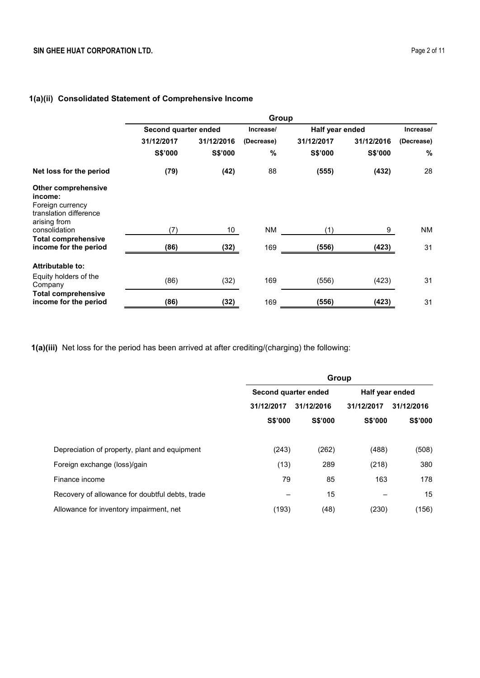# **1(a)(ii) Consolidated Statement of Comprehensive Income**

|                                                                                                     | Group                |                 |            |                 |            |            |  |
|-----------------------------------------------------------------------------------------------------|----------------------|-----------------|------------|-----------------|------------|------------|--|
|                                                                                                     | Second quarter ended |                 | Increase/  | Half year ended |            | Increase/  |  |
|                                                                                                     | 31/12/2017           | 31/12/2016      | (Decrease) | 31/12/2017      | 31/12/2016 | (Decrease) |  |
|                                                                                                     | S\$'000              | S\$'000         | %          | S\$'000         | S\$'000    | %          |  |
| Net loss for the period                                                                             | (79)                 | (42)            | 88         | (555)           | (432)      | 28         |  |
| <b>Other comprehensive</b><br>income:<br>Foreign currency<br>translation difference<br>arising from |                      |                 |            |                 |            |            |  |
| consolidation                                                                                       | (7)                  | 10 <sup>°</sup> | <b>NM</b>  | (1)             | 9          | <b>NM</b>  |  |
| <b>Total comprehensive</b><br>income for the period                                                 | (86)                 | (32)            | 169        | (556)           | (423)      | 31         |  |
| <b>Attributable to:</b>                                                                             |                      |                 |            |                 |            |            |  |
| Equity holders of the<br>Company                                                                    | (86)                 | (32)            | 169        | (556)           | (423)      | 31         |  |
| <b>Total comprehensive</b><br>income for the period                                                 | (86)                 | (32)            | 169        | (556)           | (423)      | 31         |  |

**1(a)(iii)** Net loss for the period has been arrived at after crediting/(charging) the following:

|                                                 | Group                    |                |                 |            |  |  |
|-------------------------------------------------|--------------------------|----------------|-----------------|------------|--|--|
|                                                 | Second quarter ended     |                | Half year ended |            |  |  |
|                                                 | 31/12/2017<br>31/12/2016 |                | 31/12/2017      | 31/12/2016 |  |  |
|                                                 | S\$'000                  | <b>S\$'000</b> | <b>S\$'000</b>  | S\$'000    |  |  |
|                                                 |                          |                |                 |            |  |  |
| Depreciation of property, plant and equipment   | (243)                    | (262)          | (488)           | (508)      |  |  |
| Foreign exchange (loss)/gain                    | (13)                     | 289            | (218)           | 380        |  |  |
| Finance income                                  | 79                       | 85             | 163             | 178        |  |  |
| Recovery of allowance for doubtful debts, trade | -                        | 15             |                 | 15         |  |  |
| Allowance for inventory impairment, net         | (193)                    | (48)           | (230)           | (156)      |  |  |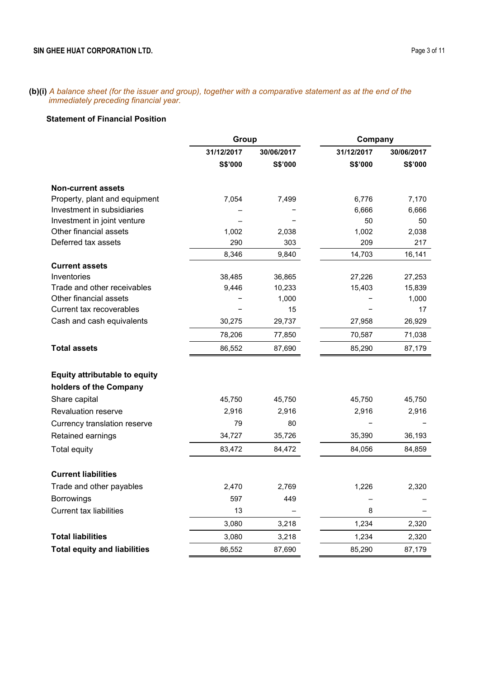**(b)(i)** *A balance sheet (for the issuer and group), together with a comparative statement as at the end of the immediately preceding financial year.*

# **Statement of Financial Position**

|                                      | Group                    |            | Company    |            |
|--------------------------------------|--------------------------|------------|------------|------------|
|                                      | 31/12/2017               | 30/06/2017 | 31/12/2017 | 30/06/2017 |
|                                      | S\$'000                  | S\$'000    | S\$'000    | S\$'000    |
| <b>Non-current assets</b>            |                          |            |            |            |
| Property, plant and equipment        | 7,054                    | 7,499      | 6,776      | 7,170      |
| Investment in subsidiaries           |                          |            | 6,666      | 6,666      |
| Investment in joint venture          | $\overline{\phantom{0}}$ |            | 50         | 50         |
| Other financial assets               | 1,002                    | 2,038      | 1,002      | 2,038      |
| Deferred tax assets                  | 290                      | 303        | 209        | 217        |
|                                      | 8,346                    | 9,840      | 14,703     | 16,141     |
| <b>Current assets</b>                |                          |            |            |            |
| Inventories                          | 38,485                   | 36,865     | 27,226     | 27,253     |
| Trade and other receivables          | 9,446                    | 10,233     | 15,403     | 15,839     |
| Other financial assets               |                          | 1,000      |            | 1,000      |
| Current tax recoverables             |                          | 15         |            | 17         |
| Cash and cash equivalents            | 30,275                   | 29,737     | 27,958     | 26,929     |
|                                      | 78,206                   | 77,850     | 70,587     | 71,038     |
| <b>Total assets</b>                  | 86,552                   | 87,690     | 85,290     | 87,179     |
| <b>Equity attributable to equity</b> |                          |            |            |            |
| holders of the Company               |                          |            |            |            |
| Share capital                        | 45,750                   | 45,750     | 45,750     | 45,750     |
| <b>Revaluation reserve</b>           | 2,916                    | 2,916      | 2,916      | 2,916      |
| Currency translation reserve         | 79                       | 80         |            |            |
| Retained earnings                    | 34,727                   | 35,726     | 35,390     | 36,193     |
| Total equity                         | 83,472                   | 84,472     | 84,056     | 84,859     |
| <b>Current liabilities</b>           |                          |            |            |            |
| Trade and other payables             | 2,470                    | 2,769      | 1,226      | 2,320      |
| <b>Borrowings</b>                    | 597                      | 449        |            |            |
| <b>Current tax liabilities</b>       | 13                       |            | 8          |            |
|                                      | 3,080                    | 3,218      | 1,234      | 2,320      |
| <b>Total liabilities</b>             | 3,080                    | 3,218      | 1,234      | 2,320      |
| <b>Total equity and liabilities</b>  | 86,552                   | 87,690     | 85,290     | 87,179     |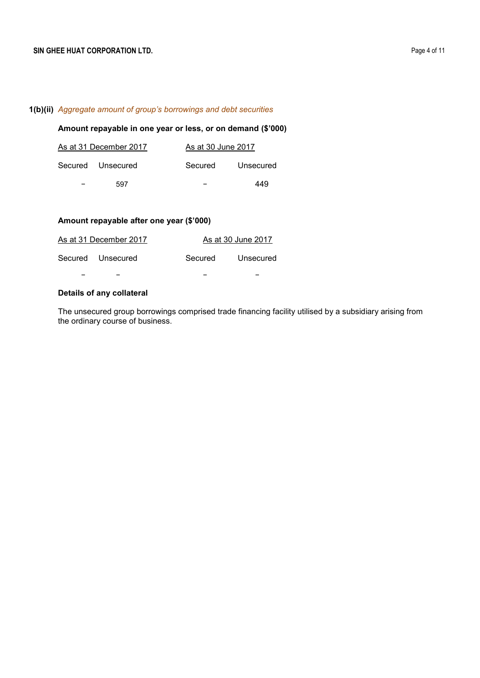### **1(b)(ii)** *Aggregate amount of group's borrowings and debt securities*

# **Amount repayable in one year or less, or on demand (\$'000)**

|   | As at 31 December 2017 | As at 30 June 2017 |           |
|---|------------------------|--------------------|-----------|
|   | Secured Unsecured      | Secured            | Unsecured |
| - | 597                    | -                  | 449       |

### **Amount repayable after one year (\$'000)**

| As at 31 December 2017 |         | As at 30 June 2017 |
|------------------------|---------|--------------------|
| Secured Unsecured      | Secured | Unsecured          |
|                        |         |                    |

# **Details of any collateral**

The unsecured group borrowings comprised trade financing facility utilised by a subsidiary arising from the ordinary course of business.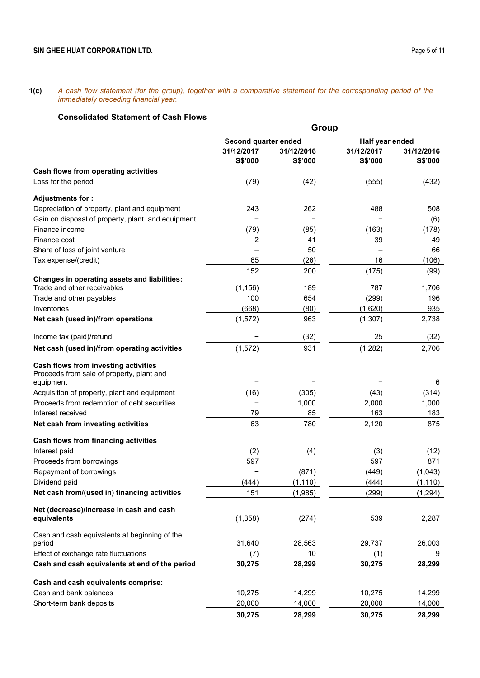**1(c)** *A cash flow statement (for the group), together with a comparative statement for the corresponding period of the immediately preceding financial year.*

# **Consolidated Statement of Cash Flows**

|                                                                                   |                                               | Group                 |                                          |                       |
|-----------------------------------------------------------------------------------|-----------------------------------------------|-----------------------|------------------------------------------|-----------------------|
|                                                                                   | Second quarter ended<br>31/12/2017<br>S\$'000 | 31/12/2016<br>S\$'000 | Half year ended<br>31/12/2017<br>S\$'000 | 31/12/2016<br>S\$'000 |
| Cash flows from operating activities                                              |                                               |                       |                                          |                       |
| Loss for the period                                                               | (79)                                          | (42)                  | (555)                                    | (432)                 |
| Adjustments for:                                                                  |                                               |                       |                                          |                       |
| Depreciation of property, plant and equipment                                     | 243                                           | 262                   | 488                                      | 508                   |
| Gain on disposal of property, plant and equipment                                 |                                               |                       |                                          | (6)                   |
| Finance income                                                                    | (79)                                          | (85)                  | (163)                                    | (178)                 |
| Finance cost                                                                      | 2                                             | 41                    | 39                                       | 49                    |
| Share of loss of joint venture                                                    |                                               | 50                    |                                          | 66                    |
| Tax expense/(credit)                                                              | 65                                            | (26)                  | 16                                       | (106)                 |
|                                                                                   | 152                                           | 200                   | (175)                                    | (99)                  |
| Changes in operating assets and liabilities:<br>Trade and other receivables       | (1, 156)                                      | 189                   | 787                                      | 1,706                 |
| Trade and other payables                                                          | 100                                           | 654                   | (299)                                    | 196                   |
| Inventories                                                                       | (668)                                         | (80)                  | (1,620)                                  | 935                   |
| Net cash (used in)/from operations                                                | (1, 572)                                      | 963                   | (1,307)                                  | 2,738                 |
| Income tax (paid)/refund                                                          |                                               | (32)                  | 25                                       | (32)                  |
| Net cash (used in)/from operating activities                                      | (1, 572)                                      | 931                   | (1, 282)                                 | 2,706                 |
| Cash flows from investing activities<br>Proceeds from sale of property, plant and |                                               |                       |                                          |                       |
| equipment                                                                         |                                               |                       |                                          | 6                     |
| Acquisition of property, plant and equipment                                      | (16)                                          | (305)                 | (43)                                     | (314)                 |
| Proceeds from redemption of debt securities                                       |                                               | 1,000                 | 2,000                                    | 1,000                 |
| Interest received                                                                 | 79                                            | 85                    | 163                                      | 183                   |
| Net cash from investing activities                                                | 63                                            | 780                   | 2,120                                    | 875                   |
| Cash flows from financing activities                                              |                                               |                       |                                          |                       |
| Interest paid                                                                     | (2)                                           | (4)                   | (3)                                      | (12)                  |
| Proceeds from borrowings                                                          | 597                                           |                       | 597                                      | 871                   |
| Repayment of borrowings                                                           |                                               | (871)                 | (449)                                    | (1,043)               |
| Dividend paid                                                                     | (444)                                         | (1, 110)              | (444)                                    | (1, 110)              |
| Net cash from/(used in) financing activities                                      | 151                                           | (1,985)               | (299)                                    | (1, 294)              |
| Net (decrease)/increase in cash and cash<br>equivalents                           | (1,358)                                       | (274)                 | 539                                      | 2,287                 |
| Cash and cash equivalents at beginning of the                                     |                                               |                       |                                          |                       |
| period<br>Effect of exchange rate fluctuations                                    | 31,640<br>(7)                                 | 28,563<br>10          | 29,737<br>(1)                            | 26,003<br>9           |
| Cash and cash equivalents at end of the period                                    | 30,275                                        | 28,299                | 30,275                                   | 28,299                |
|                                                                                   |                                               |                       |                                          |                       |
| Cash and cash equivalents comprise:                                               |                                               |                       |                                          |                       |
| Cash and bank balances                                                            | 10,275                                        | 14,299                | 10,275                                   | 14,299                |
| Short-term bank deposits                                                          | 20,000                                        | 14,000                | 20,000                                   | 14,000                |
|                                                                                   | 30,275                                        | 28,299                | 30,275                                   | 28,299                |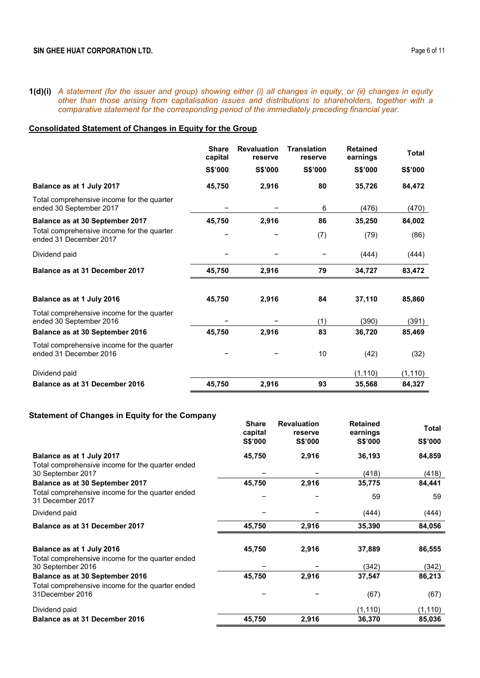**1(d)(i)** *A statement (for the issuer and group) showing either (i) all changes in equity, or (ii) changes in equity other than those arising from capitalisation issues and distributions to shareholders, together with a comparative statement for the corresponding period of the immediately preceding financial year.* 

# **Consolidated Statement of Changes in Equity for the Group**

|                                                                       | <b>Share</b><br>capital | <b>Revaluation</b><br>reserve | <b>Translation</b><br>reserve | <b>Retained</b><br>earnings | <b>Total</b> |
|-----------------------------------------------------------------------|-------------------------|-------------------------------|-------------------------------|-----------------------------|--------------|
|                                                                       | S\$'000                 | <b>S\$'000</b>                | <b>S\$'000</b>                | S\$'000                     | S\$'000      |
| Balance as at 1 July 2017                                             | 45,750                  | 2,916                         | 80                            | 35,726                      | 84,472       |
| Total comprehensive income for the quarter<br>ended 30 September 2017 |                         |                               | 6                             | (476)                       | (470)        |
| Balance as at 30 September 2017                                       | 45,750                  | 2,916                         | 86                            | 35,250                      | 84,002       |
| Total comprehensive income for the quarter<br>ended 31 December 2017  |                         |                               | (7)                           | (79)                        | (86)         |
| Dividend paid                                                         |                         |                               |                               | (444)                       | (444)        |
| Balance as at 31 December 2017                                        | 45,750                  | 2,916                         | 79                            | 34,727                      | 83,472       |
| Balance as at 1 July 2016                                             | 45,750                  | 2,916                         | 84                            | 37,110                      | 85,860       |
| Total comprehensive income for the quarter<br>ended 30 September 2016 |                         |                               | (1)                           | (390)                       | (391)        |
| Balance as at 30 September 2016                                       | 45,750                  | 2,916                         | 83                            | 36,720                      | 85,469       |
| Total comprehensive income for the quarter<br>ended 31 December 2016  |                         |                               | 10                            | (42)                        | (32)         |
| Dividend paid                                                         |                         |                               |                               | (1, 110)                    | (1, 110)     |
| Balance as at 31 December 2016                                        | 45,750                  | 2,916                         | 93                            | 35,568                      | 84,327       |

# **Statement of Changes in Equity for the Company**

|                                                                       | <b>Share</b><br>capital | <b>Revaluation</b><br>reserve | <b>Retained</b><br>earnings | <b>Total</b>   |
|-----------------------------------------------------------------------|-------------------------|-------------------------------|-----------------------------|----------------|
|                                                                       | <b>S\$'000</b>          | <b>S\$'000</b>                | <b>S\$'000</b>              | <b>S\$'000</b> |
| Balance as at 1 July 2017                                             | 45,750                  | 2,916                         | 36,193                      | 84,859         |
| Total comprehensive income for the quarter ended                      |                         |                               |                             |                |
| 30 September 2017                                                     |                         |                               | (418)                       | (418)          |
| Balance as at 30 September 2017                                       | 45,750                  | 2,916                         | 35,775                      | 84,441         |
| Total comprehensive income for the quarter ended<br>31 December 2017  |                         |                               | 59                          | 59             |
| Dividend paid                                                         |                         |                               | (444)                       | (444)          |
| Balance as at 31 December 2017                                        | 45,750                  | 2,916                         | 35,390                      | 84,056         |
| Balance as at 1 July 2016                                             | 45,750                  | 2,916                         | 37,889                      | 86,555         |
|                                                                       |                         |                               |                             |                |
| Total comprehensive income for the quarter ended<br>30 September 2016 |                         |                               | (342)                       | (342)          |
| Balance as at 30 September 2016                                       | 45,750                  | 2,916                         | 37,547                      | 86,213         |
| Total comprehensive income for the quarter ended                      |                         |                               |                             |                |
| 31December 2016                                                       |                         |                               | (67)                        | (67)           |
| Dividend paid                                                         |                         |                               | (1, 110)                    | (1, 110)       |
| Balance as at 31 December 2016                                        | 45,750                  | 2,916                         | 36,370                      | 85,036         |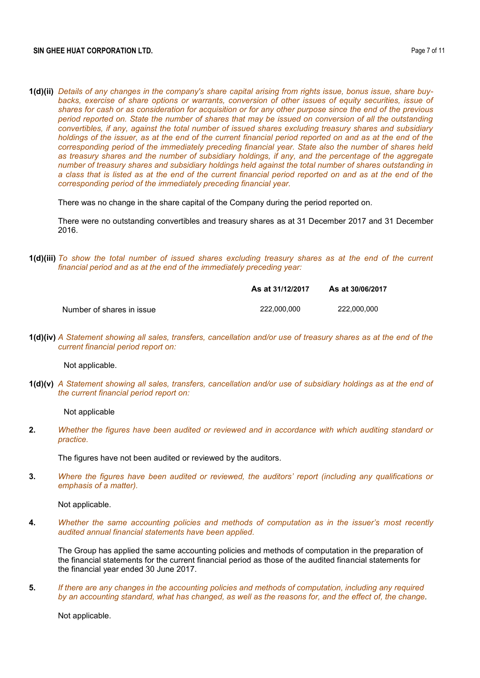**1(d)(ii)** *Details of any changes in the company's share capital arising from rights issue, bonus issue, share buybacks, exercise of share options or warrants, conversion of other issues of equity securities, issue of shares for cash or as consideration for acquisition or for any other purpose since the end of the previous period reported on. State the number of shares that may be issued on conversion of all the outstanding convertibles, if any, against the total number of issued shares excluding treasury shares and subsidiary holdings of the issuer, as at the end of the current financial period reported on and as at the end of the corresponding period of the immediately preceding financial year. State also the number of shares held as treasury shares and the number of subsidiary holdings, if any, and the percentage of the aggregate number of treasury shares and subsidiary holdings held against the total number of shares outstanding in a class that is listed as at the end of the current financial period reported on and as at the end of the corresponding period of the immediately preceding financial year.*

There was no change in the share capital of the Company during the period reported on.

There were no outstanding convertibles and treasury shares as at 31 December 2017 and 31 December 2016.

**1(d)(iii)** *To show the total number of issued shares excluding treasury shares as at the end of the current financial period and as at the end of the immediately preceding year:* 

|                           | As at 31/12/2017 | As at 30/06/2017 |
|---------------------------|------------------|------------------|
| Number of shares in issue | 222.000.000      | 222.000.000      |

**1(d)(iv)** *A Statement showing all sales, transfers, cancellation and/or use of treasury shares as at the end of the current financial period report on:* 

Not applicable.

**1(d)(v)** *A Statement showing all sales, transfers, cancellation and/or use of subsidiary holdings as at the end of the current financial period report on:* 

Not applicable

**2.** *Whether the figures have been audited or reviewed and in accordance with which auditing standard or practice.*

The figures have not been audited or reviewed by the auditors.

**3.** *Where the figures have been audited or reviewed, the auditors' report (including any qualifications or emphasis of a matter).*

Not applicable.

**4.** *Whether the same accounting policies and methods of computation as in the issuer's most recently audited annual financial statements have been applied.*

The Group has applied the same accounting policies and methods of computation in the preparation of the financial statements for the current financial period as those of the audited financial statements for the financial year ended 30 June 2017.

**5.** *If there are any changes in the accounting policies and methods of computation, including any required by an accounting standard, what has changed, as well as the reasons for, and the effect of, the change.*

Not applicable.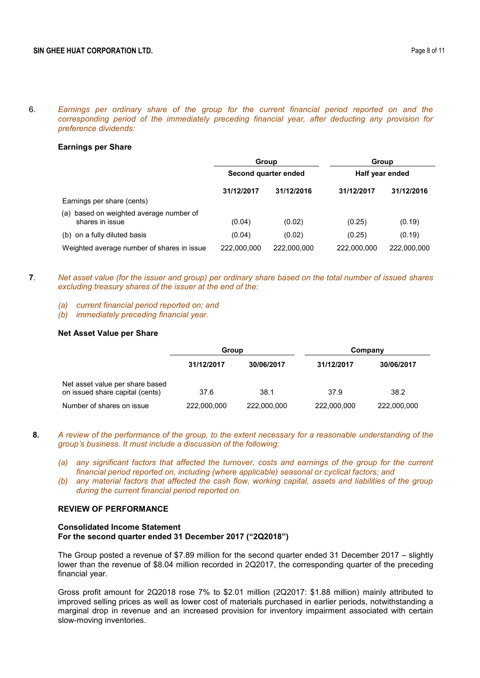6. *Earnings per ordinary share of the group for the current financial period reported on and the corresponding period of the immediately preceding financial year, after deducting any provision for preference dividends:*

#### **Earnings per Share**

|                                                               | <b>Group</b>         |             | Group<br>Half year ended |             |
|---------------------------------------------------------------|----------------------|-------------|--------------------------|-------------|
|                                                               | Second quarter ended |             |                          |             |
|                                                               | 31/12/2017           | 31/12/2016  | 31/12/2017               | 31/12/2016  |
| Earnings per share (cents)                                    |                      |             |                          |             |
| based on weighted average number of<br>(a)<br>shares in issue | (0.04)               | (0.02)      | (0.25)                   | (0.19)      |
| (b) on a fully diluted basis                                  | (0.04)               | (0.02)      | (0.25)                   | (0.19)      |
| Weighted average number of shares in issue                    | 222,000,000          | 222,000,000 | 222,000,000              | 222,000,000 |

- **7**. *Net asset value (for the issuer and group) per ordinary share based on the total number of issued shares excluding treasury shares of the issuer at the end of the:*
	- *(a) current financial period reported on; and*
	- *(b) immediately preceding financial year.*

#### **Net Asset Value per Share**

|                                                                    | Group       |             | Company     |             |  |
|--------------------------------------------------------------------|-------------|-------------|-------------|-------------|--|
|                                                                    | 31/12/2017  | 30/06/2017  | 31/12/2017  | 30/06/2017  |  |
| Net asset value per share based<br>on issued share capital (cents) | 37.6        | 38.1        | 37.9        | 38.2        |  |
| Number of shares on issue                                          | 222,000,000 | 222,000,000 | 222,000,000 | 222,000,000 |  |

- **8.** *A review of the performance of the group, to the extent necessary for a reasonable understanding of the group's business. It must include a discussion of the following:*
	- *(a) any significant factors that affected the turnover, costs and earnings of the group for the current financial period reported on, including (where applicable) seasonal or cyclical factors; and*
	- *(b) any material factors that affected the cash flow, working capital, assets and liabilities of the group during the current financial period reported on.*

# **REVIEW OF PERFORMANCE**

#### **Consolidated Income Statement For the second quarter ended 31 December 2017 ("2Q2018")**

The Group posted a revenue of \$7.89 million for the second quarter ended 31 December 2017 – slightly lower than the revenue of \$8.04 million recorded in 2Q2017, the corresponding quarter of the preceding financial year.

Gross profit amount for 2Q2018 rose 7% to \$2.01 million (2Q2017: \$1.88 million) mainly attributed to improved selling prices as well as lower cost of materials purchased in earlier periods, notwithstanding a marginal drop in revenue and an increased provision for inventory impairment associated with certain slow-moving inventories.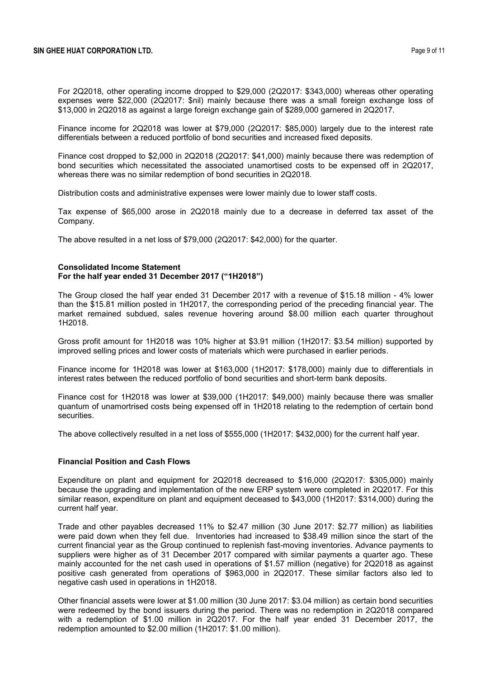For 2Q2018, other operating income dropped to \$29,000 (2Q2017: \$343,000) whereas other operating expenses were \$22,000 (2Q2017: \$nil) mainly because there was a small foreign exchange loss of \$13,000 in 2Q2018 as against a large foreign exchange gain of \$289,000 garnered in 2Q2017.

Finance income for 2Q2018 was lower at \$79,000 (2Q2017: \$85,000) largely due to the interest rate differentials between a reduced portfolio of bond securities and increased fixed deposits.

Finance cost dropped to \$2,000 in 2Q2018 (2Q2017: \$41,000) mainly because there was redemption of bond securities which necessitated the associated unamortised costs to be expensed off in 2Q2017, whereas there was no similar redemption of bond securities in 2Q2018.

Distribution costs and administrative expenses were lower mainly due to lower staff costs.

Tax expense of \$65,000 arose in 2Q2018 mainly due to a decrease in deferred tax asset of the Company.

The above resulted in a net loss of \$79,000 (2Q2017: \$42,000) for the quarter.

#### **Consolidated Income Statement For the half year ended 31 December 2017 ("1H2018")**

The Group closed the half year ended 31 December 2017 with a revenue of \$15.18 million - 4% lower than the \$15.81 million posted in 1H2017, the corresponding period of the preceding financial year. The market remained subdued, sales revenue hovering around \$8.00 million each quarter throughout 1H2018.

Gross profit amount for 1H2018 was 10% higher at \$3.91 million (1H2017: \$3.54 million) supported by improved selling prices and lower costs of materials which were purchased in earlier periods.

Finance income for 1H2018 was lower at \$163,000 (1H2017: \$178,000) mainly due to differentials in interest rates between the reduced portfolio of bond securities and short-term bank deposits.

Finance cost for 1H2018 was lower at \$39,000 (1H2017: \$49,000) mainly because there was smaller quantum of unamortrised costs being expensed off in 1H2018 relating to the redemption of certain bond securities.

The above collectively resulted in a net loss of \$555,000 (1H2017: \$432,000) for the current half year.

#### **Financial Position and Cash Flows**

Expenditure on plant and equipment for 2Q2018 decreased to \$16,000 (2Q2017: \$305,000) mainly because the upgrading and implementation of the new ERP system were completed in 2Q2017. For this similar reason, expenditure on plant and equipment deceased to \$43,000 (1H2017: \$314,000) during the current half year.

Trade and other payables decreased 11% to \$2.47 million (30 June 2017: \$2.77 million) as liabilities were paid down when they fell due. Inventories had increased to \$38.49 million since the start of the current financial year as the Group continued to replenish fast-moving inventories. Advance payments to suppliers were higher as of 31 December 2017 compared with similar payments a quarter ago. These mainly accounted for the net cash used in operations of \$1.57 million (negative) for 2Q2018 as against positive cash generated from operations of \$963,000 in 2Q2017. These similar factors also led to negative cash used in operations in 1H2018.

Other financial assets were lower at \$1.00 million (30 June 2017: \$3.04 million) as certain bond securities were redeemed by the bond issuers during the period. There was no redemption in 2Q2018 compared with a redemption of \$1.00 million in 2Q2017. For the half year ended 31 December 2017, the redemption amounted to \$2.00 million (1H2017: \$1.00 million).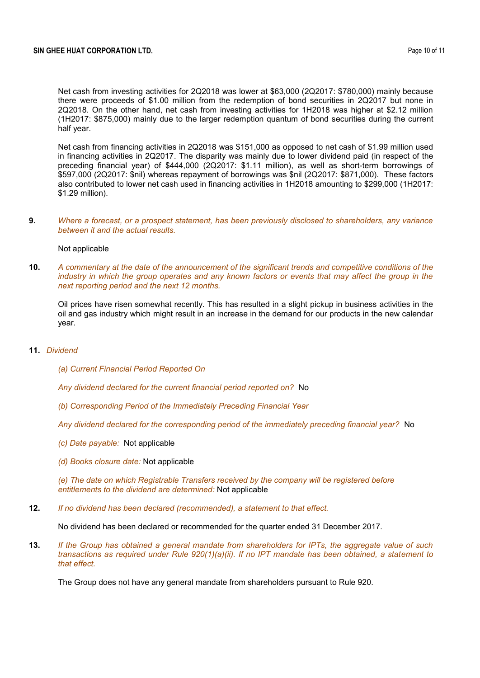Net cash from investing activities for 2Q2018 was lower at \$63,000 (2Q2017: \$780,000) mainly because there were proceeds of \$1.00 million from the redemption of bond securities in 2Q2017 but none in 2Q2018. On the other hand, net cash from investing activities for 1H2018 was higher at \$2.12 million (1H2017: \$875,000) mainly due to the larger redemption quantum of bond securities during the current half year.

Net cash from financing activities in 2Q2018 was \$151,000 as opposed to net cash of \$1.99 million used in financing activities in 2Q2017. The disparity was mainly due to lower dividend paid (in respect of the preceding financial year) of \$444,000 (2Q2017: \$1.11 million), as well as short-term borrowings of \$597,000 (2Q2017: \$nil) whereas repayment of borrowings was \$nil (2Q2017: \$871,000). These factors also contributed to lower net cash used in financing activities in 1H2018 amounting to \$299,000 (1H2017: \$1.29 million).

**9.** *Where a forecast, or a prospect statement, has been previously disclosed to shareholders, any variance between it and the actual results.*

#### Not applicable

**10.** *A commentary at the date of the announcement of the significant trends and competitive conditions of the industry in which the group operates and any known factors or events that may affect the group in the next reporting period and the next 12 months.*

Oil prices have risen somewhat recently. This has resulted in a slight pickup in business activities in the oil and gas industry which might result in an increase in the demand for our products in the new calendar year.

#### **11.** *Dividend*

*(a) Current Financial Period Reported On*

*Any dividend declared for the current financial period reported on?* No

*(b) Corresponding Period of the Immediately Preceding Financial Year*

*Any dividend declared for the corresponding period of the immediately preceding financial year?* No

- *(c) Date payable:* Not applicable
- *(d) Books closure date:* Not applicable

*(e) The date on which Registrable Transfers received by the company will be registered before entitlements to the dividend are determined:* Not applicable

**12.** *If no dividend has been declared (recommended), a statement to that effect.*

No dividend has been declared or recommended for the quarter ended 31 December 2017.

**13.** *If the Group has obtained a general mandate from shareholders for IPTs, the aggregate value of such transactions as required under Rule 920(1)(a)(ii). If no IPT mandate has been obtained, a statement to that effect.*

The Group does not have any general mandate from shareholders pursuant to Rule 920.